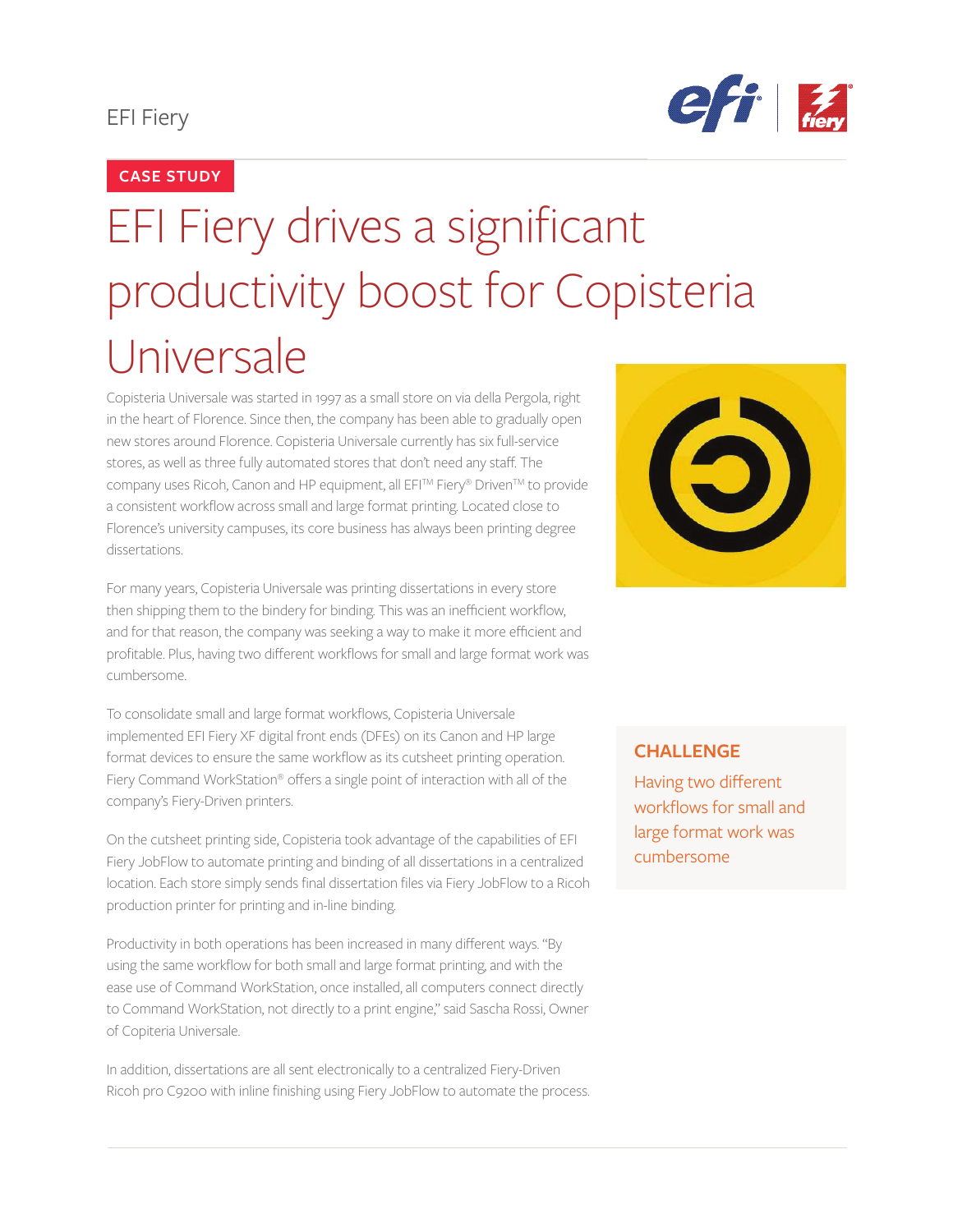# EFI Fiery



## **CASE STUDY**

# EFI Fiery drives a significant productivity boost for Copisteria Universale

Copisteria Universale was started in 1997 as a small store on via della Pergola, right in the heart of Florence. Since then, the company has been able to gradually open new stores around Florence. Copisteria Universale currently has six full-service stores, as well as three fully automated stores that don't need any staff. The company uses Ricoh, Canon and HP equipment, all EFI™ Fiery® Driven™ to provide a consistent workflow across small and large format printing. Located close to Florence's university campuses, its core business has always been printing degree dissertations.

For many years, Copisteria Universale was printing dissertations in every store then shipping them to the bindery for binding. This was an inefficient workflow, and for that reason, the company was seeking a way to make it more efficient and profitable. Plus, having two different workflows for small and large format work was cumbersome.

To consolidate small and large format workflows, Copisteria Universale implemented EFI Fiery XF digital front ends (DFEs) on its Canon and HP large format devices to ensure the same workflow as its cutsheet printing operation. Fiery Command WorkStation® offers a single point of interaction with all of the company's Fiery-Driven printers.

On the cutsheet printing side, Copisteria took advantage of the capabilities of EFI Fiery JobFlow to automate printing and binding of all dissertations in a centralized location. Each store simply sends final dissertation files via Fiery JobFlow to a Ricoh production printer for printing and in-line binding.

Productivity in both operations has been increased in many different ways. "By using the same workflow for both small and large format printing, and with the ease use of Command WorkStation, once installed, all computers connect directly to Command WorkStation, not directly to a print engine," said Sascha Rossi, Owner of Copiteria Universale.

In addition, dissertations are all sent electronically to a centralized Fiery-Driven Ricoh pro C9200 with inline finishing using Fiery JobFlow to automate the process.



#### **CHALLENGE**

Having two different workflows for small and large format work was cumbersome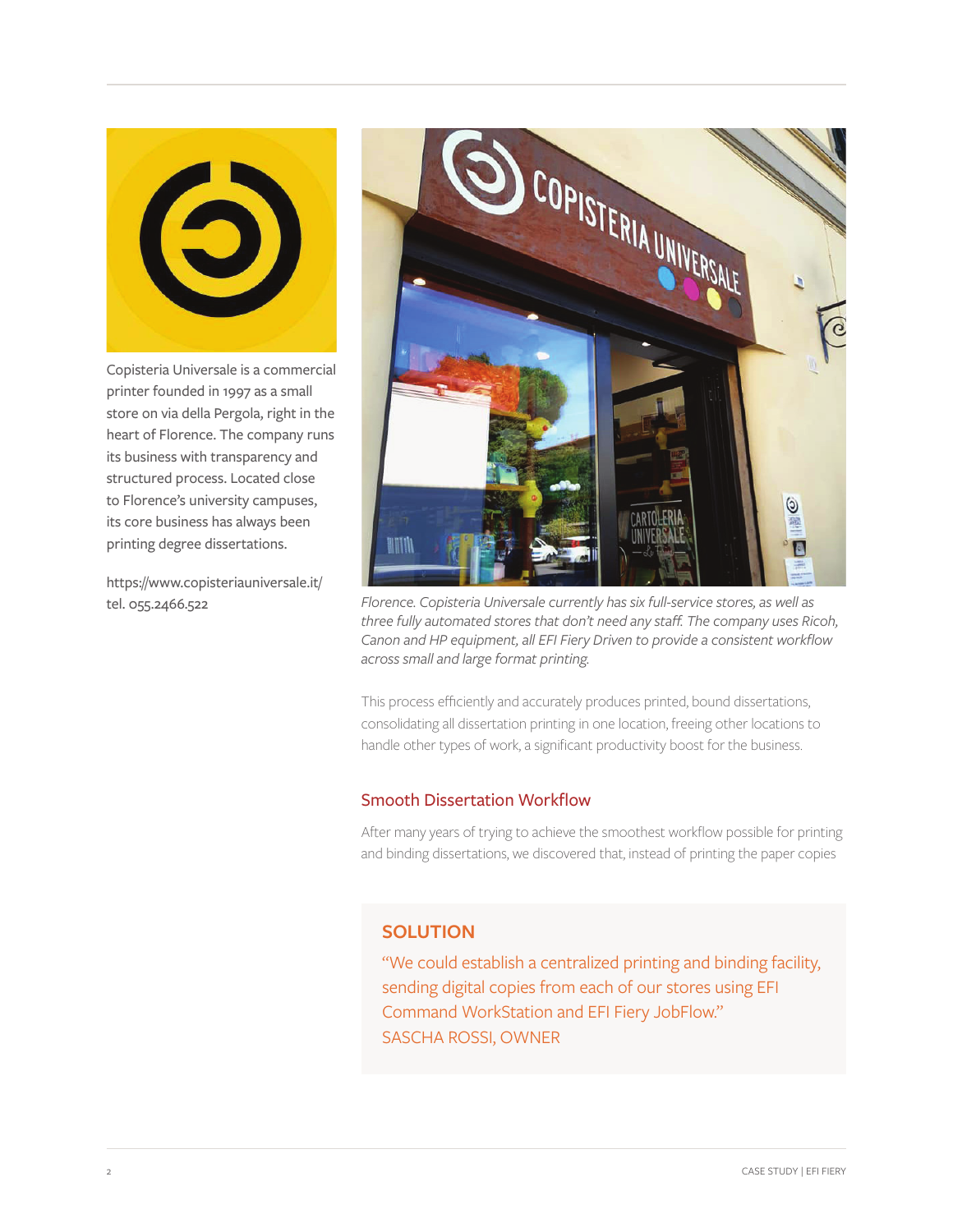

Copisteria Universale is a commercial printer founded in 1997 as a small store on via della Pergola, right in the heart of Florence. The company runs its business with transparency and structured process. Located close to Florence's university campuses, its core business has always been printing degree dissertations.

https://www.copisteriauniversale.it/ tel. 055.2466.522



*Florence. Copisteria Universale currently has six full-service stores, as well as three fully automated stores that don't need any staff. The company uses Ricoh, Canon and HP equipment, all EFI Fiery Driven to provide a consistent workflow across small and large format printing.*

This process efficiently and accurately produces printed, bound dissertations, consolidating all dissertation printing in one location, freeing other locations to handle other types of work, a significant productivity boost for the business.

#### Smooth Dissertation Workflow

After many years of trying to achieve the smoothest workflow possible for printing and binding dissertations, we discovered that, instead of printing the paper copies

### **SOLUTION**

"We could establish a centralized printing and binding facility, sending digital copies from each of our stores using EFI Command WorkStation and EFI Fiery JobFlow." SASCHA ROSSI, OWNER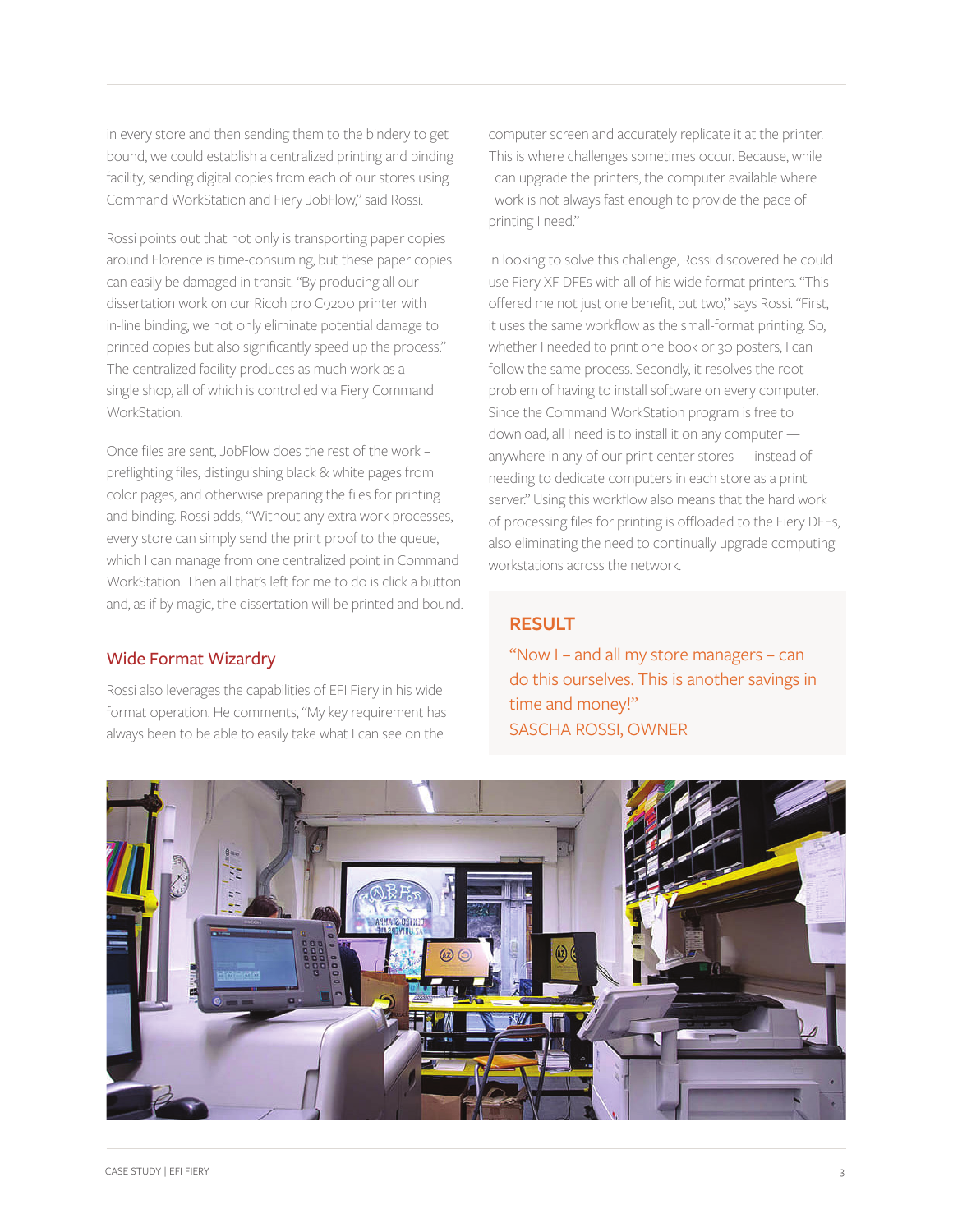in every store and then sending them to the bindery to get bound, we could establish a centralized printing and binding facility, sending digital copies from each of our stores using Command WorkStation and Fiery JobFlow," said Rossi.

Rossi points out that not only is transporting paper copies around Florence is time-consuming, but these paper copies can easily be damaged in transit. "By producing all our dissertation work on our Ricoh pro C9200 printer with in-line binding, we not only eliminate potential damage to printed copies but also significantly speed up the process." The centralized facility produces as much work as a single shop, all of which is controlled via Fiery Command **WorkStation** 

Once files are sent, JobFlow does the rest of the work – preflighting files, distinguishing black & white pages from color pages, and otherwise preparing the files for printing and binding. Rossi adds, "Without any extra work processes, every store can simply send the print proof to the queue, which I can manage from one centralized point in Command WorkStation. Then all that's left for me to do is click a button and, as if by magic, the dissertation will be printed and bound.

#### Wide Format Wizardry

Rossi also leverages the capabilities of EFI Fiery in his wide format operation. He comments, "My key requirement has always been to be able to easily take what I can see on the

computer screen and accurately replicate it at the printer. This is where challenges sometimes occur. Because, while I can upgrade the printers, the computer available where I work is not always fast enough to provide the pace of printing I need."

In looking to solve this challenge, Rossi discovered he could use Fiery XF DFEs with all of his wide format printers. "This offered me not just one benefit, but two," says Rossi. "First, it uses the same workflow as the small-format printing. So, whether I needed to print one book or 30 posters, I can follow the same process. Secondly, it resolves the root problem of having to install software on every computer. Since the Command WorkStation program is free to download, all I need is to install it on any computer anywhere in any of our print center stores — instead of needing to dedicate computers in each store as a print server." Using this workflow also means that the hard work of processing files for printing is offloaded to the Fiery DFEs, also eliminating the need to continually upgrade computing workstations across the network.

#### **RESULT**

"Now I – and all my store managers – can do this ourselves. This is another savings in time and money!" SASCHA ROSSI, OWNER